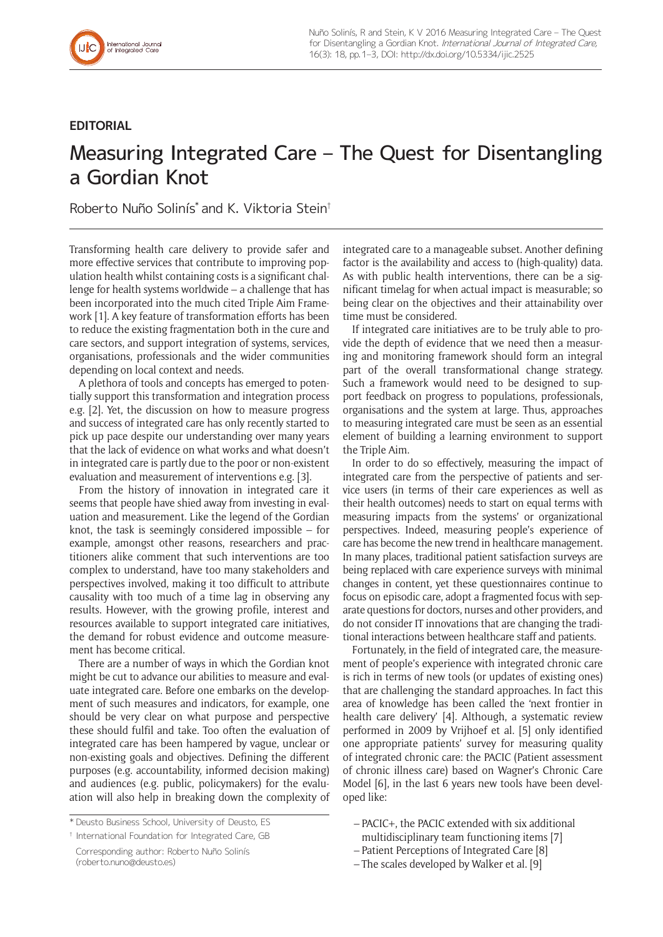## **EDITORIAL**

## Measuring Integrated Care – The Quest for Disentangling a Gordian Knot

Roberto Nuño Solinís\* and K. Viktoria Stein†

Transforming health care delivery to provide safer and more effective services that contribute to improving population health whilst containing costs is a significant challenge for health systems worldwide – a challenge that has been incorporated into the much cited Triple Aim Framework [1]. A key feature of transformation efforts has been to reduce the existing fragmentation both in the cure and care sectors, and support integration of systems, services, organisations, professionals and the wider communities depending on local context and needs.

A plethora of tools and concepts has emerged to potentially support this transformation and integration process e.g. [2]. Yet, the discussion on how to measure progress and success of integrated care has only recently started to pick up pace despite our understanding over many years that the lack of evidence on what works and what doesn't in integrated care is partly due to the poor or non-existent evaluation and measurement of interventions e.g. [3].

From the history of innovation in integrated care it seems that people have shied away from investing in evaluation and measurement. Like the legend of the Gordian knot, the task is seemingly considered impossible – for example, amongst other reasons, researchers and practitioners alike comment that such interventions are too complex to understand, have too many stakeholders and perspectives involved, making it too difficult to attribute causality with too much of a time lag in observing any results. However, with the growing profile, interest and resources available to support integrated care initiatives, the demand for robust evidence and outcome measurement has become critical.

There are a number of ways in which the Gordian knot might be cut to advance our abilities to measure and evaluate integrated care. Before one embarks on the development of such measures and indicators, for example, one should be very clear on what purpose and perspective these should fulfil and take. Too often the evaluation of integrated care has been hampered by vague, unclear or non-existing goals and objectives. Defining the different purposes (e.g. accountability, informed decision making) and audiences (e.g. public, policymakers) for the evaluation will also help in breaking down the complexity of

\* Deusto Business School, University of Deusto, ES

† International Foundation for Integrated Care, GB

Corresponding author: Roberto Nuño Solinís ([roberto.nuno@deusto.es](mailto:roberto.nuno@deusto.es))

integrated care to a manageable subset. Another defining factor is the availability and access to (high-quality) data. As with public health interventions, there can be a significant timelag for when actual impact is measurable; so being clear on the objectives and their attainability over time must be considered.

If integrated care initiatives are to be truly able to provide the depth of evidence that we need then a measuring and monitoring framework should form an integral part of the overall transformational change strategy. Such a framework would need to be designed to support feedback on progress to populations, professionals, organisations and the system at large. Thus, approaches to measuring integrated care must be seen as an essential element of building a learning environment to support the Triple Aim.

In order to do so effectively, measuring the impact of integrated care from the perspective of patients and service users (in terms of their care experiences as well as their health outcomes) needs to start on equal terms with measuring impacts from the systems' or organizational perspectives. Indeed, measuring people's experience of care has become the new trend in healthcare management. In many places, traditional patient satisfaction surveys are being replaced with care experience surveys with minimal changes in content, yet these questionnaires continue to focus on episodic care, adopt a fragmented focus with separate questions for doctors, nurses and other providers, and do not consider IT innovations that are changing the traditional interactions between healthcare staff and patients.

Fortunately, in the field of integrated care, the measurement of people's experience with integrated chronic care is rich in terms of new tools (or updates of existing ones) that are challenging the standard approaches. In fact this area of knowledge has been called the 'next frontier in health care delivery' [4]. Although, a systematic review performed in 2009 by Vrijhoef et al. [5] only identified one appropriate patients' survey for measuring quality of integrated chronic care: the PACIC (Patient assessment of chronic illness care) based on Wagner's Chronic Care Model [6], in the last 6 years new tools have been developed like:

- PACIC+, the PACIC extended with six additional
- multidisciplinary team functioning items [7]
- Patient Perceptions of Integrated Care [8]
- The scales developed by Walker et al. [9]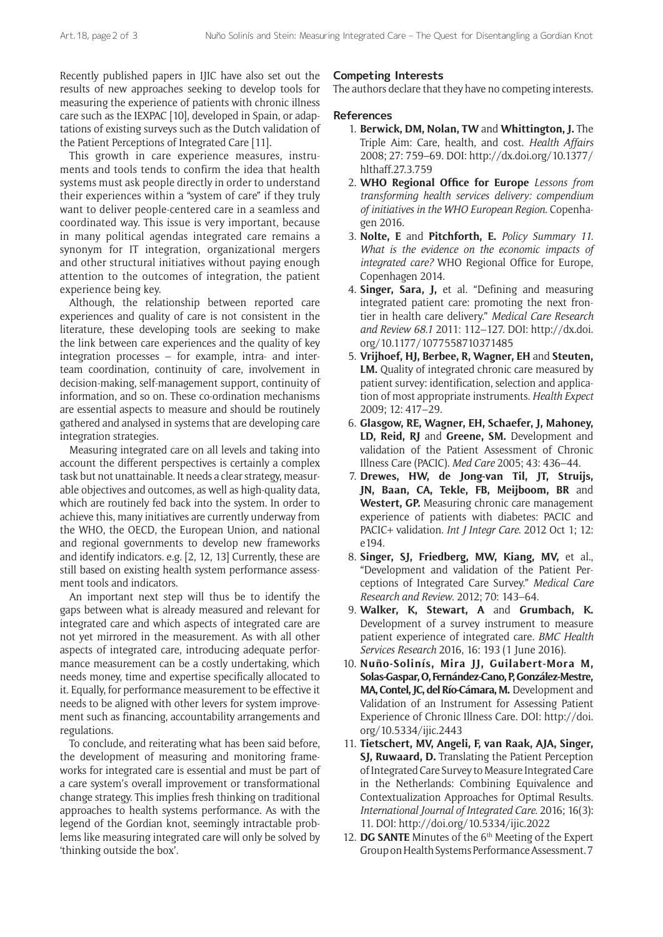Recently published papers in IJIC have also set out the results of new approaches seeking to develop tools for measuring the experience of patients with chronic illness care such as the IEXPAC [10], developed in Spain, or adaptations of existing surveys such as the Dutch validation of the Patient Perceptions of Integrated Care [11].

This growth in care experience measures, instruments and tools tends to confirm the idea that health systems must ask people directly in order to understand their experiences within a "system of care" if they truly want to deliver people-centered care in a seamless and coordinated way. This issue is very important, because in many political agendas integrated care remains a synonym for IT integration, organizational mergers and other structural initiatives without paying enough attention to the outcomes of integration, the patient experience being key.

Although, the relationship between reported care experiences and quality of care is not consistent in the literature, these developing tools are seeking to make the link between care experiences and the quality of key integration processes – for example, intra- and interteam coordination, continuity of care, involvement in decision-making, self-management support, continuity of information, and so on. These co-ordination mechanisms are essential aspects to measure and should be routinely gathered and analysed in systems that are developing care integration strategies.

Measuring integrated care on all levels and taking into account the different perspectives is certainly a complex task but not unattainable. It needs a clear strategy, measurable objectives and outcomes, as well as high-quality data, which are routinely fed back into the system. In order to achieve this, many initiatives are currently underway from the WHO, the OECD, the European Union, and national and regional governments to develop new frameworks and identify indicators. e.g. [2, 12, 13] Currently, these are still based on existing health system performance assessment tools and indicators.

An important next step will thus be to identify the gaps between what is already measured and relevant for integrated care and which aspects of integrated care are not yet mirrored in the measurement. As with all other aspects of integrated care, introducing adequate performance measurement can be a costly undertaking, which needs money, time and expertise specifically allocated to it. Equally, for performance measurement to be effective it needs to be aligned with other levers for system improvement such as financing, accountability arrangements and regulations.

To conclude, and reiterating what has been said before, the development of measuring and monitoring frameworks for integrated care is essential and must be part of a care system's overall improvement or transformational change strategy. This implies fresh thinking on traditional approaches to health systems performance. As with the legend of the Gordian knot, seemingly intractable problems like measuring integrated care will only be solved by 'thinking outside the box'.

## **Competing Interests**

The authors declare that they have no competing interests.

## **References**

- 1. **Berwick, DM, Nolan, TW** and **Whittington, J.** The Triple Aim: Care, health, and cost. *Health Affairs* 2008; 27: 759–69. DOI: [http://dx.doi.org/10.1377/](http://dx.doi.org/10.1377/hlthaff.27.3.759) [hlthaff.27.3.759](http://dx.doi.org/10.1377/hlthaff.27.3.759)
- 2. **WHO Regional Office for Europe** *Lessons from transforming health services delivery: compendium of initiatives in the WHO European Region.* Copenhagen 2016.
- 3. **Nolte, E** and **Pitchforth, E.** *Policy Summary 11. What is the evidence on the economic impacts of integrated care?* WHO Regional Office for Europe, Copenhagen 2014.
- 4. **Singer, Sara, J,** et al. "Defining and measuring integrated patient care: promoting the next frontier in health care delivery." *Medical Care Research and Review 68.1* 2011: 112–127. DOI: [http://dx.doi.](http://dx.doi.org/10.1177/1077558710371485) [org/10.1177/1077558710371485](http://dx.doi.org/10.1177/1077558710371485)
- 5. **Vrijhoef, HJ, Berbee, R, Wagner, EH** and **Steuten, LM.** Quality of integrated chronic care measured by patient survey: identification, selection and application of most appropriate instruments. *Health Expect*  2009; 12: 417–29.
- 6. **Glasgow, RE, Wagner, EH, Schaefer, J, Mahoney, LD, Reid, RJ** and **Greene, SM.** Development and validation of the Patient Assessment of Chronic Illness Care (PACIC). *Med Care* 2005; 43: 436–44.
- 7. **Drewes, HW, de Jong-van Til, JT, Struijs, JN, Baan, CA, Tekle, FB, Meijboom, BR** and **Westert, GP.** Measuring chronic care management experience of patients with diabetes: PACIC and PACIC+ validation. *Int J Integr Care*. 2012 Oct 1; 12: e194.
- 8. **Singer, SJ, Friedberg, MW, Kiang, MV,** et al., "Development and validation of the Patient Perceptions of Integrated Care Survey." *Medical Care Research and Review*. 2012; 70: 143–64.
- 9. **Walker, K, Stewart, A** and **Grumbach, K.** Development of a survey instrument to measure patient experience of integrated care. *BMC Health Services Research* 2016, 16: 193 (1 June 2016).
- 10. **Nuño-Solinís, Mira JJ, Guilabert-Mora M, Solas-Gaspar, O, Fernández-Cano, P, González-Mestre, MA, Contel, JC, del Río-Cámara, M.** Development and Validation of an Instrument for Assessing Patient Experience of Chronic Illness Care. DOI: http://doi. org/10.5334/ijic.2443
- 11. **Tietschert, MV, Angeli, F, van Raak, AJA, Singer, SJ, Ruwaard, D.** Translating the Patient Perception of Integrated Care Survey to Measure Integrated Care in the Netherlands: Combining Equivalence and Contextualization Approaches for Optimal Results. *International Journal of Integrated Care*. 2016; 16(3): 11. DOI:<http://doi.org/10.5334/ijic.2022>
- 12. DG SANTE Minutes of the 6<sup>th</sup> Meeting of the Expert Group on Health Systems Performance Assessment. 7